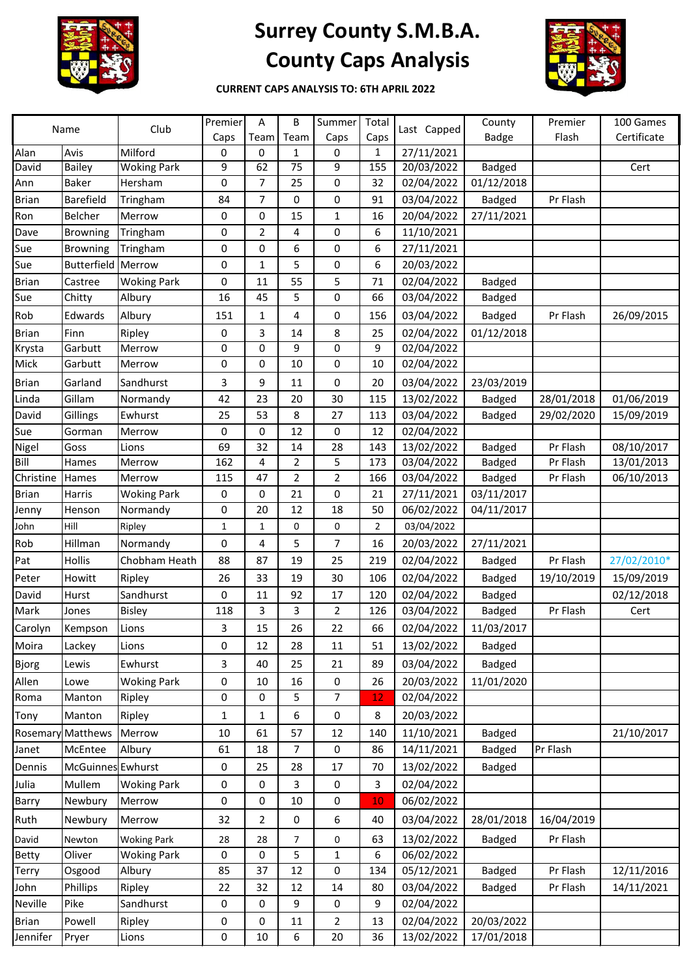

## **Surrey County S.M.B.A. County Caps Analysis**



**CURRENT CAPS ANALYSIS TO: 6TH APRIL 2022**

| Name         |                          | Club               | Premier      | A            | B    | Summer         | Total          | Last Capped | County        | Premier    | 100 Games   |
|--------------|--------------------------|--------------------|--------------|--------------|------|----------------|----------------|-------------|---------------|------------|-------------|
|              |                          |                    | Caps         | Team         | Team | Caps           | Caps           |             | Badge         | Flash      | Certificate |
| Alan         | Avis                     | Milford            | 0            | 0            | 1    | 0              | 1              | 27/11/2021  |               |            |             |
| David        | <b>Bailey</b>            | <b>Woking Park</b> | 9            | 62           | 75   | 9              | 155            | 20/03/2022  | <b>Badged</b> |            | Cert        |
| Ann          | <b>Baker</b>             | Hersham            | 0            | 7            | 25   | 0              | 32             | 02/04/2022  | 01/12/2018    |            |             |
| <b>Brian</b> | Barefield                | Tringham           | 84           | 7            | 0    | 0              | 91             | 03/04/2022  | <b>Badged</b> | Pr Flash   |             |
| Ron          | <b>Belcher</b>           | Merrow             | 0            | 0            | 15   | 1              | 16             | 20/04/2022  | 27/11/2021    |            |             |
| Dave         | <b>Browning</b>          | Tringham           | 0            | 2            | 4    | 0              | 6              | 11/10/2021  |               |            |             |
| Sue          | <b>Browning</b>          | Tringham           | 0            | 0            | 6    | 0              | 6              | 27/11/2021  |               |            |             |
| Sue          | <b>Butterfield</b>       | Merrow             | 0            | $\mathbf{1}$ | 5    | 0              | 6              | 20/03/2022  |               |            |             |
| <b>Brian</b> | Castree                  | <b>Woking Park</b> | 0            | 11           | 55   | 5              | 71             | 02/04/2022  | <b>Badged</b> |            |             |
| Sue          | Chitty                   | Albury             | 16           | 45           | 5    | 0              | 66             | 03/04/2022  | <b>Badged</b> |            |             |
| Rob          | Edwards                  | Albury             | 151          | 1            | 4    | 0              | 156            | 03/04/2022  | <b>Badged</b> | Pr Flash   | 26/09/2015  |
| <b>Brian</b> | Finn                     | Ripley             | 0            | 3            | 14   | 8              | 25             | 02/04/2022  | 01/12/2018    |            |             |
| Krysta       | Garbutt                  | Merrow             | 0            | 0            | 9    | 0              | 9              | 02/04/2022  |               |            |             |
| Mick         | Garbutt                  | Merrow             | 0            | 0            | 10   | 0              | 10             | 02/04/2022  |               |            |             |
| <b>Brian</b> | Garland                  | Sandhurst          | 3            | 9            | 11   | 0              | 20             | 03/04/2022  | 23/03/2019    |            |             |
| Linda        | Gillam                   | Normandy           | 42           | 23           | 20   | 30             | 115            | 13/02/2022  | <b>Badged</b> | 28/01/2018 | 01/06/2019  |
| David        | Gillings                 | Ewhurst            | 25           | 53           | 8    | 27             | 113            | 03/04/2022  | <b>Badged</b> | 29/02/2020 | 15/09/2019  |
| Sue          | Gorman                   | Merrow             | 0            | 0            | 12   | 0              | 12             | 02/04/2022  |               |            |             |
| Nigel        | Goss                     | Lions              | 69           | 32           | 14   | 28             | 143            | 13/02/2022  | <b>Badged</b> | Pr Flash   | 08/10/2017  |
| Bill         | Hames                    | Merrow             | 162          | 4            | 2    | 5              | 173            | 03/04/2022  | <b>Badged</b> | Pr Flash   | 13/01/2013  |
| Christine    | Hames                    | Merrow             | 115          | 47           | 2    | $\overline{2}$ | 166            | 03/04/2022  | <b>Badged</b> | Pr Flash   | 06/10/2013  |
| <b>Brian</b> | Harris                   | <b>Woking Park</b> | 0            | 0            | 21   | 0              | 21             | 27/11/2021  | 03/11/2017    |            |             |
| Jenny        | Henson                   | Normandy           | 0            | 20           | 12   | 18             | 50             | 06/02/2022  | 04/11/2017    |            |             |
| John         | Hill                     | Ripley             | 1            | $\mathbf 1$  | 0    | 0              | $\overline{2}$ | 03/04/2022  |               |            |             |
| Rob          | Hillman                  | Normandy           | 0            | 4            | 5    | 7              | 16             | 20/03/2022  | 27/11/2021    |            |             |
| Pat          | Hollis                   | Chobham Heath      | 88           | 87           | 19   | 25             | 219            | 02/04/2022  | <b>Badged</b> | Pr Flash   | 27/02/2010* |
| Peter        | Howitt                   | Ripley             | 26           | 33           | 19   | 30             | 106            | 02/04/2022  | <b>Badged</b> | 19/10/2019 | 15/09/2019  |
| David        | Hurst                    | Sandhurst          | 0            | 11           | 92   | 17             | 120            | 02/04/2022  | Badged        |            | 02/12/2018  |
| Mark         | Jones                    | <b>Bisley</b>      | 118          | 3            | 3    | $\overline{2}$ | 126            | 03/04/2022  | Badged        | Pr Flash   | Cert        |
| Carolyn      | Kempson                  | Lions              | 3            | 15           | 26   | 22             | 66             | 02/04/2022  | 11/03/2017    |            |             |
| Moira        | Lackey                   | Lions              | 0            | 12           | 28   | 11             | 51             | 13/02/2022  | <b>Badged</b> |            |             |
| Bjorg        | Lewis                    | Ewhurst            | 3            | 40           | 25   | 21             | 89             | 03/04/2022  | <b>Badged</b> |            |             |
| Allen        | Lowe                     | <b>Woking Park</b> | 0            | 10           | 16   | 0              | 26             | 20/03/2022  | 11/01/2020    |            |             |
| Roma         | Manton                   | Ripley             | 0            | 0            | 5    | $\overline{7}$ | 12             | 02/04/2022  |               |            |             |
| Tony         | Manton                   | Ripley             | $\mathbf{1}$ | $\mathbf{1}$ | 6    | 0              | 8              | 20/03/2022  |               |            |             |
| Rosemary     | Matthews                 | Merrow             | 10           | 61           | 57   | 12             | 140            | 11/10/2021  | <b>Badged</b> |            | 21/10/2017  |
| Janet        | McEntee                  | Albury             | 61           | 18           | 7    | 0              | 86             | 14/11/2021  | <b>Badged</b> | Pr Flash   |             |
|              |                          |                    |              |              |      | 17             |                |             |               |            |             |
| Dennis       | <b>McGuinnes</b> Ewhurst |                    | 0            | 25           | 28   |                | 70             | 13/02/2022  | <b>Badged</b> |            |             |
| Julia        | Mullem                   | <b>Woking Park</b> | 0            | 0            | 3    | $\pmb{0}$      | 3              | 02/04/2022  |               |            |             |
| Barry        | Newbury                  | Merrow             | 0            | 0            | 10   | 0              | 10             | 06/02/2022  |               |            |             |
| Ruth         | Newbury                  | Merrow             | 32           | 2            | 0    | 6              | 40             | 03/04/2022  | 28/01/2018    | 16/04/2019 |             |
| David        | Newton                   | <b>Woking Park</b> | 28           | 28           | 7    | 0              | 63             | 13/02/2022  | <b>Badged</b> | Pr Flash   |             |
| <b>Betty</b> | Oliver                   | <b>Woking Park</b> | 0            | 0            | 5    | 1              | 6              | 06/02/2022  |               |            |             |
| Terry        | Osgood                   | Albury             | 85           | 37           | 12   | 0              | 134            | 05/12/2021  | <b>Badged</b> | Pr Flash   | 12/11/2016  |
| John         | Phillips                 | Ripley             | 22           | 32           | 12   | 14             | 80             | 03/04/2022  | <b>Badged</b> | Pr Flash   | 14/11/2021  |
| Neville      | Pike                     | Sandhurst          | 0            | 0            | 9    | 0              | 9              | 02/04/2022  |               |            |             |
| <b>Brian</b> | Powell                   | Ripley             | 0            | 0            | 11   | 2              | 13             | 02/04/2022  | 20/03/2022    |            |             |
| Jennifer     | Pryer                    | Lions              | 0            | $10\,$       | 6    | 20             | 36             | 13/02/2022  | 17/01/2018    |            |             |